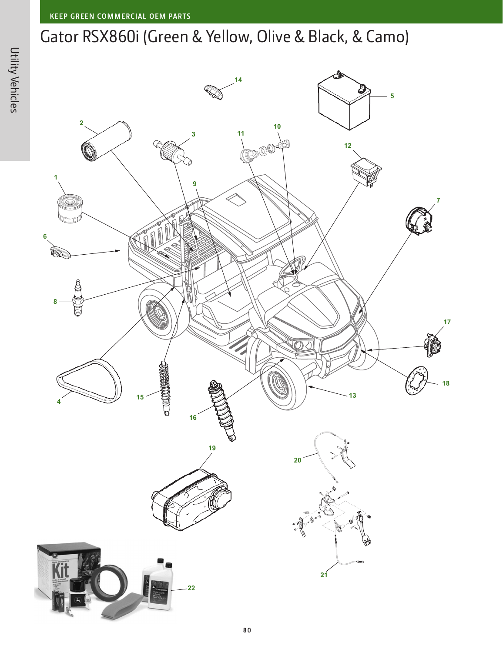## Gator RSX860i (Green & Yellow, Olive & Black, & Camo)